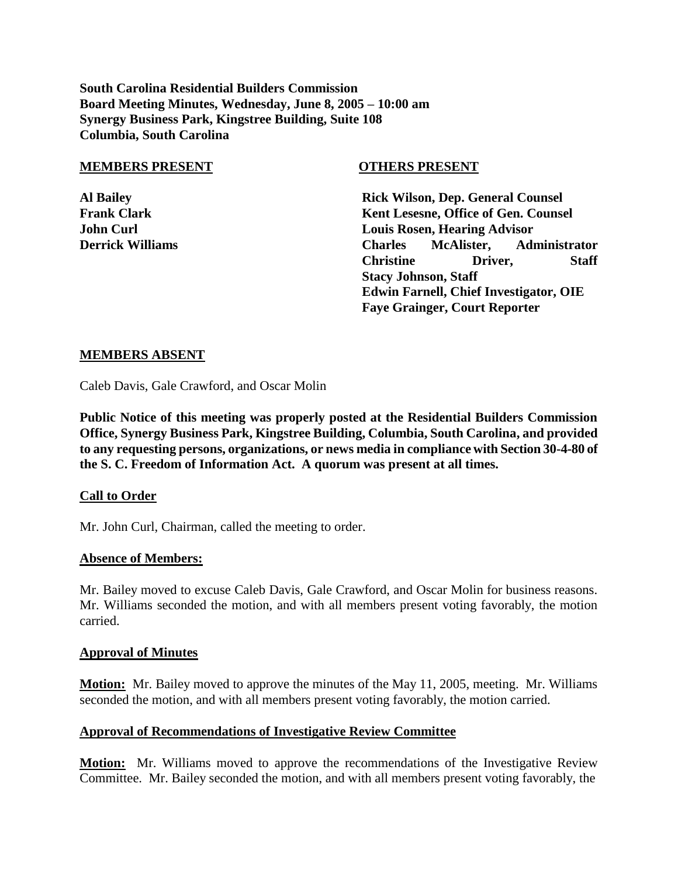**South Carolina Residential Builders Commission Board Meeting Minutes, Wednesday, June 8, 2005 – 10:00 am Synergy Business Park, Kingstree Building, Suite 108 Columbia, South Carolina**

#### **MEMBERS PRESENT OTHERS PRESENT**

**Al Bailey Rick Wilson, Dep. General Counsel Frank Clark Kent Lesesne, Office of Gen. Counsel John Curl Louis Rosen, Hearing Advisor Derrick Williams Charles McAlister, Administrator Christine Driver, Staff Stacy Johnson, Staff Edwin Farnell, Chief Investigator, OIE Faye Grainger, Court Reporter**

### **MEMBERS ABSENT**

Caleb Davis, Gale Crawford, and Oscar Molin

**Public Notice of this meeting was properly posted at the Residential Builders Commission Office, Synergy Business Park, Kingstree Building, Columbia, South Carolina, and provided to any requesting persons, organizations, or news media in compliance with Section 30-4-80 of the S. C. Freedom of Information Act. A quorum was present at all times.**

### **Call to Order**

Mr. John Curl, Chairman, called the meeting to order.

### **Absence of Members:**

Mr. Bailey moved to excuse Caleb Davis, Gale Crawford, and Oscar Molin for business reasons. Mr. Williams seconded the motion, and with all members present voting favorably, the motion carried.

### **Approval of Minutes**

**Motion:** Mr. Bailey moved to approve the minutes of the May 11, 2005, meeting. Mr. Williams seconded the motion, and with all members present voting favorably, the motion carried.

### **Approval of Recommendations of Investigative Review Committee**

**Motion:** Mr. Williams moved to approve the recommendations of the Investigative Review Committee. Mr. Bailey seconded the motion, and with all members present voting favorably, the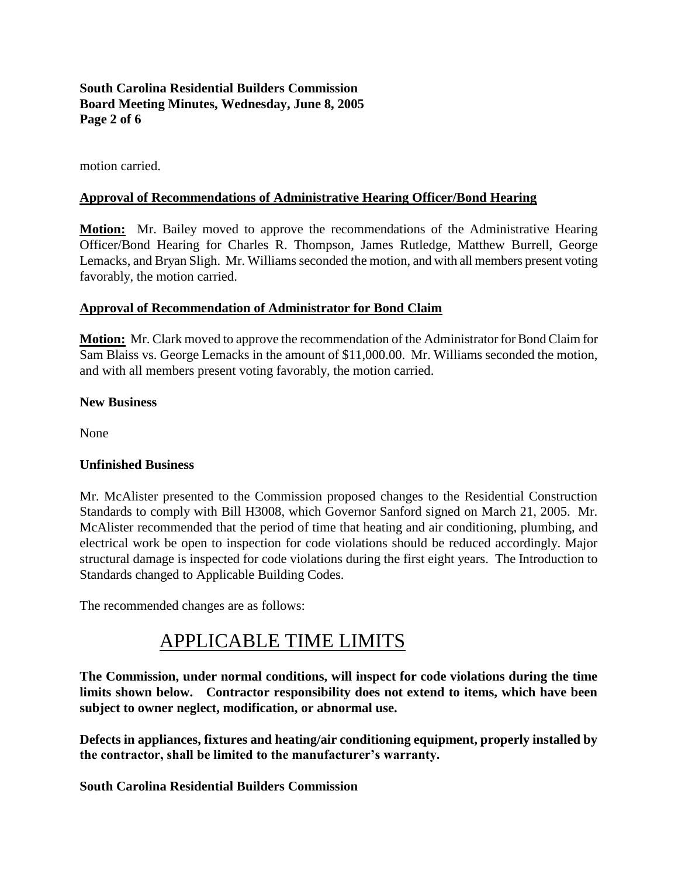### **South Carolina Residential Builders Commission Board Meeting Minutes, Wednesday, June 8, 2005 Page 2 of 6**

motion carried.

### **Approval of Recommendations of Administrative Hearing Officer/Bond Hearing**

**Motion:** Mr. Bailey moved to approve the recommendations of the Administrative Hearing Officer/Bond Hearing for Charles R. Thompson, James Rutledge, Matthew Burrell, George Lemacks, and Bryan Sligh. Mr. Williams seconded the motion, and with all members present voting favorably, the motion carried.

### **Approval of Recommendation of Administrator for Bond Claim**

**Motion:** Mr. Clark moved to approve the recommendation of the Administrator for Bond Claim for Sam Blaiss vs. George Lemacks in the amount of \$11,000.00. Mr. Williams seconded the motion, and with all members present voting favorably, the motion carried.

### **New Business**

None

### **Unfinished Business**

Mr. McAlister presented to the Commission proposed changes to the Residential Construction Standards to comply with Bill H3008, which Governor Sanford signed on March 21, 2005. Mr. McAlister recommended that the period of time that heating and air conditioning, plumbing, and electrical work be open to inspection for code violations should be reduced accordingly. Major structural damage is inspected for code violations during the first eight years. The Introduction to Standards changed to Applicable Building Codes.

The recommended changes are as follows:

# APPLICABLE TIME LIMITS

**The Commission, under normal conditions, will inspect for code violations during the time limits shown below. Contractor responsibility does not extend to items, which have been subject to owner neglect, modification, or abnormal use.**

**Defects in appliances, fixtures and heating/air conditioning equipment, properly installed by the contractor, shall be limited to the manufacturer's warranty.**

**South Carolina Residential Builders Commission**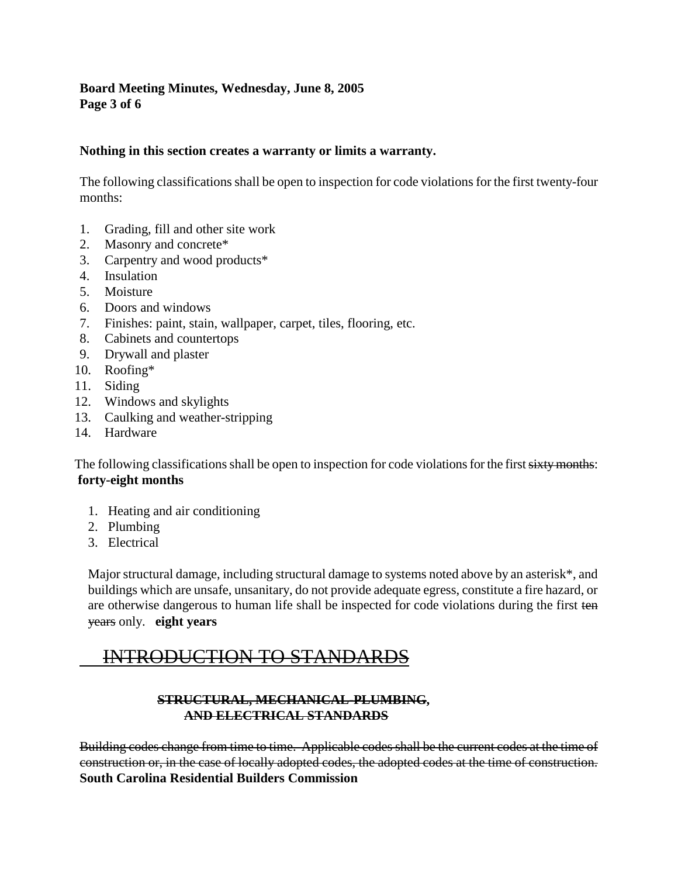### **Board Meeting Minutes, Wednesday, June 8, 2005 Page 3 of 6**

### **Nothing in this section creates a warranty or limits a warranty.**

The following classifications shall be open to inspection for code violations for the first twenty-four months:

- 1. Grading, fill and other site work
- 2. Masonry and concrete\*
- 3. Carpentry and wood products\*
- 4. Insulation
- 5. Moisture
- 6. Doors and windows
- 7. Finishes: paint, stain, wallpaper, carpet, tiles, flooring, etc.
- 8. Cabinets and countertops
- 9. Drywall and plaster
- 10. Roofing\*
- 11. Siding
- 12. Windows and skylights
- 13. Caulking and weather-stripping
- 14. Hardware

The following classifications shall be open to inspection for code violations for the first sixty months: **forty-eight months**

- 1. Heating and air conditioning
- 2. Plumbing
- 3. Electrical

Major structural damage, including structural damage to systems noted above by an asterisk\*, and buildings which are unsafe, unsanitary, do not provide adequate egress, constitute a fire hazard, or are otherwise dangerous to human life shall be inspected for code violations during the first ten years only. **eight years**

## INTRODUCTION TO STANDARDS

### **STRUCTURAL, MECHANICAL-PLUMBING, AND ELECTRICAL STANDARDS**

Building codes change from time to time. Applicable codes shall be the current codes at the time of construction or, in the case of locally adopted codes, the adopted codes at the time of construction. **South Carolina Residential Builders Commission**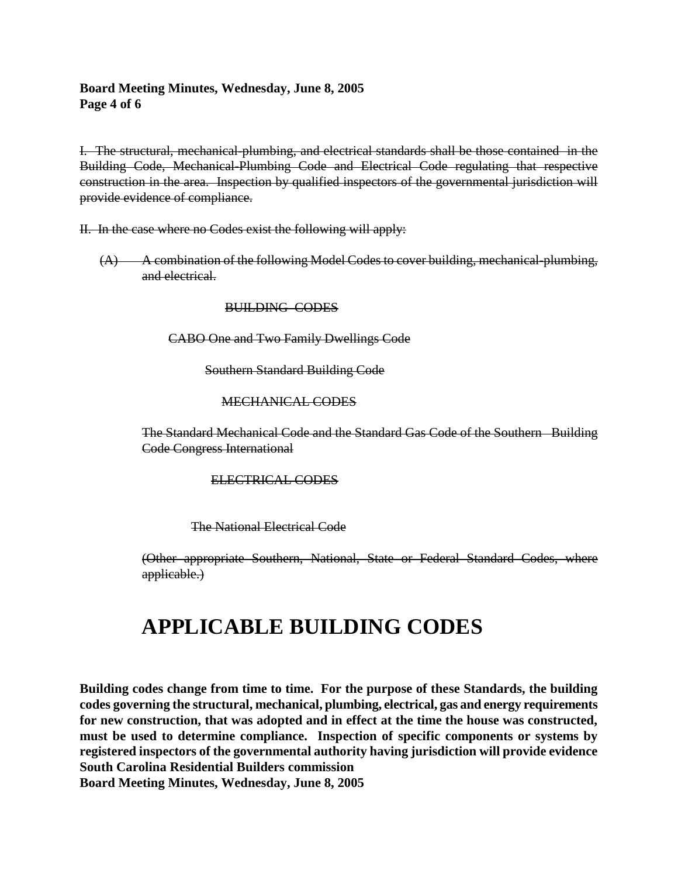### **Board Meeting Minutes, Wednesday, June 8, 2005 Page 4 of 6**

I. The structural, mechanical-plumbing, and electrical standards shall be those contained in the Building Code, Mechanical-Plumbing Code and Electrical Code regulating that respective construction in the area. Inspection by qualified inspectors of the governmental jurisdiction will provide evidence of compliance.

II. In the case where no Codes exist the following will apply:

 $(A)$  A combination of the following Model Codes to cover building, mechanical-plumbing, and electrical.

BUILDING CODES

CABO One and Two Family Dwellings Code

Southern Standard Building Code

### MECHANICAL CODES

The Standard Mechanical Code and the Standard Gas Code of the Southern Building Code Congress International

ELECTRICAL CODES

The National Electrical Code

(Other appropriate Southern, National, State or Federal Standard Codes, where applicable.)

# **APPLICABLE BUILDING CODES**

**Building codes change from time to time. For the purpose of these Standards, the building codes governing the structural, mechanical, plumbing, electrical, gas and energy requirements for new construction, that was adopted and in effect at the time the house was constructed, must be used to determine compliance. Inspection of specific components or systems by registered inspectors of the governmental authority having jurisdiction will provide evidence South Carolina Residential Builders commission Board Meeting Minutes, Wednesday, June 8, 2005**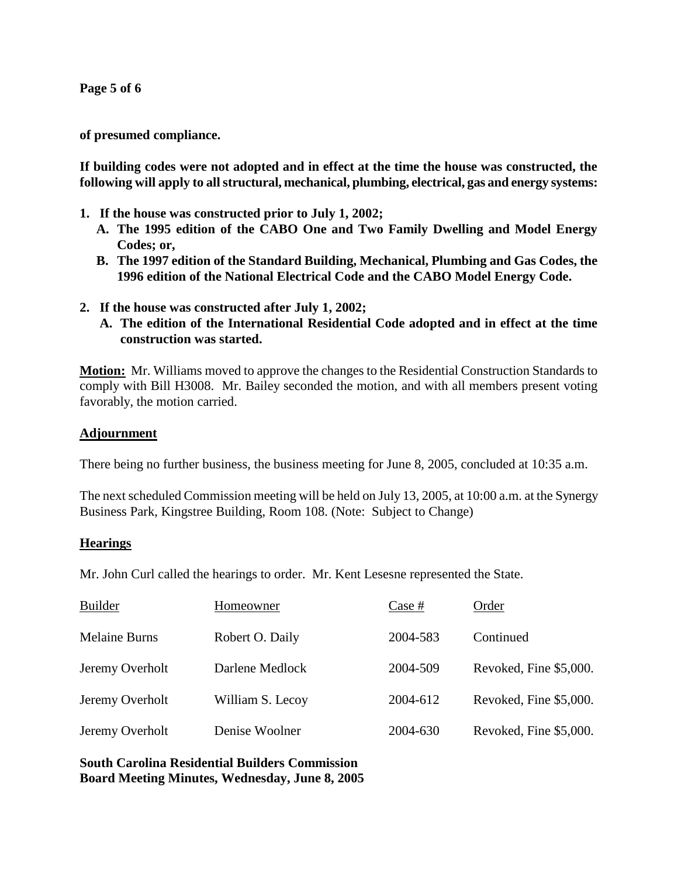**Page 5 of 6**

**of presumed compliance.**

**If building codes were not adopted and in effect at the time the house was constructed, the following will apply to all structural, mechanical, plumbing, electrical, gas and energy systems:**

- **1. If the house was constructed prior to July 1, 2002;**
	- **A. The 1995 edition of the CABO One and Two Family Dwelling and Model Energy Codes; or,**
	- **B. The 1997 edition of the Standard Building, Mechanical, Plumbing and Gas Codes, the 1996 edition of the National Electrical Code and the CABO Model Energy Code.**
- **2. If the house was constructed after July 1, 2002;**
	- **A. The edition of the International Residential Code adopted and in effect at the time construction was started.**

**Motion:** Mr. Williams moved to approve the changes to the Residential Construction Standards to comply with Bill H3008. Mr. Bailey seconded the motion, and with all members present voting favorably, the motion carried.

### **Adjournment**

There being no further business, the business meeting for June 8, 2005, concluded at 10:35 a.m.

The next scheduled Commission meeting will be held on July 13, 2005, at 10:00 a.m. at the Synergy Business Park, Kingstree Building, Room 108. (Note: Subject to Change)

### **Hearings**

Mr. John Curl called the hearings to order. Mr. Kent Lesesne represented the State.

| <b>Builder</b>       | Homeowner        | Case #   | Order                  |
|----------------------|------------------|----------|------------------------|
| <b>Melaine Burns</b> | Robert O. Daily  | 2004-583 | Continued              |
| Jeremy Overholt      | Darlene Medlock  | 2004-509 | Revoked, Fine \$5,000. |
| Jeremy Overholt      | William S. Lecoy | 2004-612 | Revoked, Fine \$5,000. |
| Jeremy Overholt      | Denise Woolner   | 2004-630 | Revoked, Fine \$5,000. |

**South Carolina Residential Builders Commission Board Meeting Minutes, Wednesday, June 8, 2005**